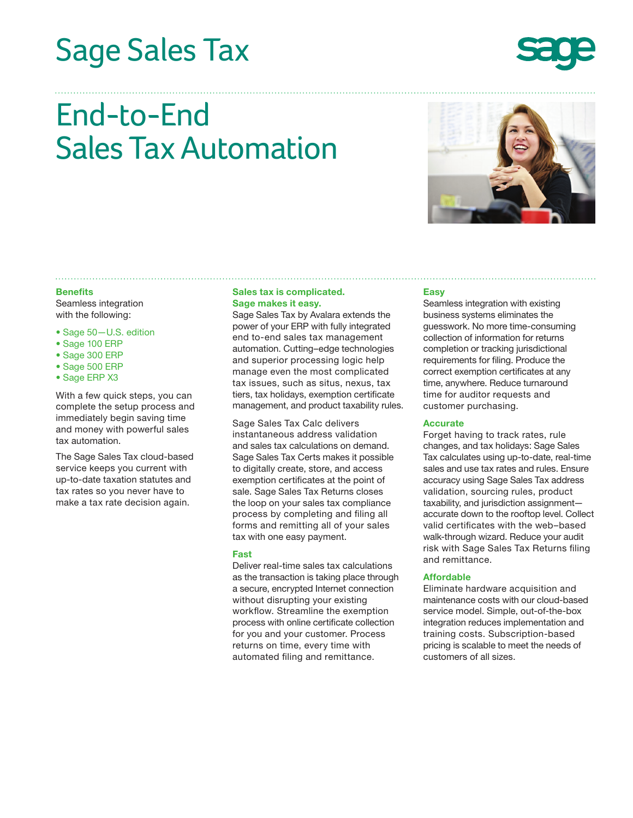# Sage Sales Tax



## End-to-End Sales Tax Automation



#### **Benefits**

Seamless integration with the following:

- Sage 50—U.S. edition
- Sage 100 ERP
- Sage 300 ERP
- Sage 500 ERP
- Sage ERP X3

With a few quick steps, you can complete the setup process and immediately begin saving time and money with powerful sales tax automation.

The Sage Sales Tax cloud-based service keeps you current with up-to-date taxation statutes and tax rates so you never have to make a tax rate decision again.

## **Sales tax is complicated. Sage makes it easy.**

Sage Sales Tax by Avalara extends the power of your ERP with fully integrated end to-end sales tax management automation. Cutting–edge technologies and superior processing logic help manage even the most complicated tax issues, such as situs, nexus, tax tiers, tax holidays, exemption certificate management, and product taxability rules.

Sage Sales Tax Calc delivers instantaneous address validation and sales tax calculations on demand. Sage Sales Tax Certs makes it possible to digitally create, store, and access exemption certificates at the point of sale. Sage Sales Tax Returns closes the loop on your sales tax compliance process by completing and filing all forms and remitting all of your sales tax with one easy payment.

#### **Fast**

Deliver real-time sales tax calculations as the transaction is taking place through a secure, encrypted Internet connection without disrupting your existing workflow. Streamline the exemption process with online certificate collection for you and your customer. Process returns on time, every time with automated filing and remittance.

## **Easy**

Seamless integration with existing business systems eliminates the guesswork. No more time-consuming collection of information for returns completion or tracking jurisdictional requirements for filing. Produce the correct exemption certificates at any time, anywhere. Reduce turnaround time for auditor requests and customer purchasing.

## **Accurate**

Forget having to track rates, rule changes, and tax holidays: Sage Sales Tax calculates using up-to-date, real-time sales and use tax rates and rules. Ensure accuracy using Sage Sales Tax address validation, sourcing rules, product taxability, and jurisdiction assignment accurate down to the rooftop level. Collect valid certificates with the web–based walk-through wizard. Reduce your audit risk with Sage Sales Tax Returns filing and remittance.

## **Affordable**

Eliminate hardware acquisition and maintenance costs with our cloud-based service model. Simple, out-of-the-box integration reduces implementation and training costs. Subscription-based pricing is scalable to meet the needs of customers of all sizes.